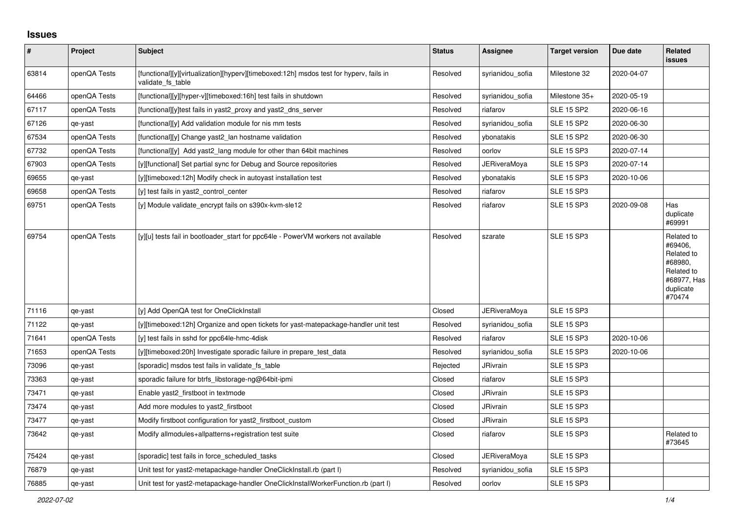## **Issues**

| #     | <b>Project</b> | <b>Subject</b>                                                                                              | <b>Status</b> | Assignee            | <b>Target version</b> | Due date   | Related<br><b>issues</b>                                                                           |
|-------|----------------|-------------------------------------------------------------------------------------------------------------|---------------|---------------------|-----------------------|------------|----------------------------------------------------------------------------------------------------|
| 63814 | openQA Tests   | [functional][y][virtualization][hyperv][timeboxed:12h] msdos test for hyperv, fails in<br>validate_fs_table | Resolved      | syrianidou sofia    | Milestone 32          | 2020-04-07 |                                                                                                    |
| 64466 | openQA Tests   | [functional][y][hyper-v][timeboxed:16h] test fails in shutdown                                              | Resolved      | syrianidou sofia    | Milestone 35+         | 2020-05-19 |                                                                                                    |
| 67117 | openQA Tests   | [functional][y]test fails in yast2 proxy and yast2 dns server                                               | Resolved      | riafarov            | <b>SLE 15 SP2</b>     | 2020-06-16 |                                                                                                    |
| 67126 | qe-yast        | [functional][y] Add validation module for nis mm tests                                                      | Resolved      | syrianidou sofia    | <b>SLE 15 SP2</b>     | 2020-06-30 |                                                                                                    |
| 67534 | openQA Tests   | [functional][y] Change yast2 lan hostname validation                                                        | Resolved      | ybonatakis          | <b>SLE 15 SP2</b>     | 2020-06-30 |                                                                                                    |
| 67732 | openQA Tests   | [functional][y] Add yast2 lang module for other than 64bit machines                                         | Resolved      | oorlov              | <b>SLE 15 SP3</b>     | 2020-07-14 |                                                                                                    |
| 67903 | openQA Tests   | [y][functional] Set partial sync for Debug and Source repositories                                          | Resolved      | JERiveraMoya        | <b>SLE 15 SP3</b>     | 2020-07-14 |                                                                                                    |
| 69655 | qe-yast        | [y][timeboxed:12h] Modify check in autoyast installation test                                               | Resolved      | ybonatakis          | <b>SLE 15 SP3</b>     | 2020-10-06 |                                                                                                    |
| 69658 | openQA Tests   | [y] test fails in yast2_control_center                                                                      | Resolved      | riafarov            | <b>SLE 15 SP3</b>     |            |                                                                                                    |
| 69751 | openQA Tests   | [y] Module validate_encrypt fails on s390x-kvm-sle12                                                        | Resolved      | riafarov            | <b>SLE 15 SP3</b>     | 2020-09-08 | Has<br>duplicate<br>#69991                                                                         |
| 69754 | openQA Tests   | [y][u] tests fail in bootloader_start for ppc64le - PowerVM workers not available                           | Resolved      | szarate             | <b>SLE 15 SP3</b>     |            | Related to<br>#69406,<br>Related to<br>#68980,<br>Related to<br>#68977, Has<br>duplicate<br>#70474 |
| 71116 | qe-yast        | [y] Add OpenQA test for OneClickInstall                                                                     | Closed        | <b>JERiveraMoya</b> | <b>SLE 15 SP3</b>     |            |                                                                                                    |
| 71122 | qe-yast        | [y][timeboxed:12h] Organize and open tickets for yast-matepackage-handler unit test                         | Resolved      | syrianidou sofia    | <b>SLE 15 SP3</b>     |            |                                                                                                    |
| 71641 | openQA Tests   | [y] test fails in sshd for ppc64le-hmc-4disk                                                                | Resolved      | riafarov            | <b>SLE 15 SP3</b>     | 2020-10-06 |                                                                                                    |
| 71653 | openQA Tests   | [y][timeboxed:20h] Investigate sporadic failure in prepare test data                                        | Resolved      | syrianidou sofia    | <b>SLE 15 SP3</b>     | 2020-10-06 |                                                                                                    |
| 73096 | qe-yast        | [sporadic] msdos test fails in validate fs table                                                            | Rejected      | <b>JRivrain</b>     | <b>SLE 15 SP3</b>     |            |                                                                                                    |
| 73363 | qe-yast        | sporadic failure for btrfs libstorage-ng@64bit-ipmi                                                         | Closed        | riafarov            | <b>SLE 15 SP3</b>     |            |                                                                                                    |
| 73471 | qe-yast        | Enable yast2_firstboot in textmode                                                                          | Closed        | <b>JRivrain</b>     | <b>SLE 15 SP3</b>     |            |                                                                                                    |
| 73474 | qe-yast        | Add more modules to yast2_firstboot                                                                         | Closed        | JRivrain            | <b>SLE 15 SP3</b>     |            |                                                                                                    |
| 73477 | qe-yast        | Modify firstboot configuration for yast2_firstboot_custom                                                   | Closed        | JRivrain            | <b>SLE 15 SP3</b>     |            |                                                                                                    |
| 73642 | qe-yast        | Modify allmodules+allpatterns+registration test suite                                                       | Closed        | riafarov            | <b>SLE 15 SP3</b>     |            | Related to<br>#73645                                                                               |
| 75424 | qe-yast        | [sporadic] test fails in force scheduled tasks                                                              | Closed        | <b>JERiveraMoya</b> | <b>SLE 15 SP3</b>     |            |                                                                                                    |
| 76879 | qe-yast        | Unit test for yast2-metapackage-handler OneClickInstall.rb (part I)                                         | Resolved      | syrianidou sofia    | <b>SLE 15 SP3</b>     |            |                                                                                                    |
| 76885 | qe-yast        | Unit test for yast2-metapackage-handler OneClickInstallWorkerFunction.rb (part I)                           | Resolved      | oorlov              | <b>SLE 15 SP3</b>     |            |                                                                                                    |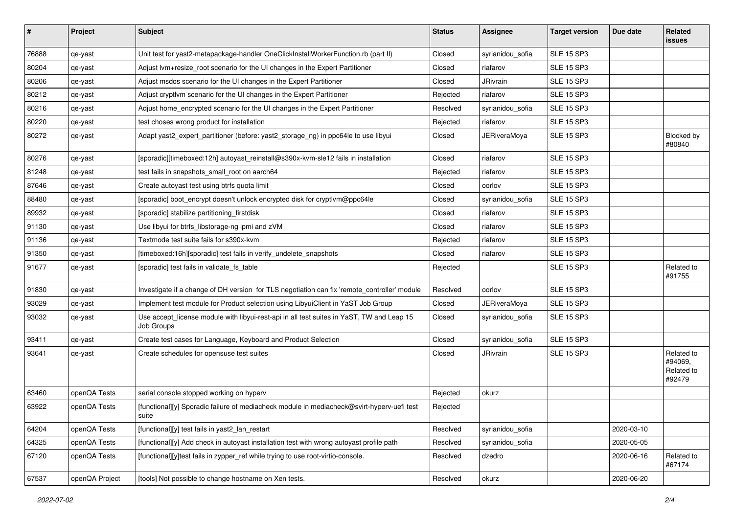| #     | Project        | <b>Subject</b>                                                                                          | <b>Status</b> | Assignee            | <b>Target version</b> | Due date   | Related<br>issues                             |
|-------|----------------|---------------------------------------------------------------------------------------------------------|---------------|---------------------|-----------------------|------------|-----------------------------------------------|
| 76888 | qe-yast        | Unit test for yast2-metapackage-handler OneClickInstallWorkerFunction.rb (part II)                      | Closed        | syrianidou_sofia    | <b>SLE 15 SP3</b>     |            |                                               |
| 80204 | qe-yast        | Adjust Ivm+resize root scenario for the UI changes in the Expert Partitioner                            | Closed        | riafarov            | <b>SLE 15 SP3</b>     |            |                                               |
| 80206 | qe-yast        | Adjust msdos scenario for the UI changes in the Expert Partitioner                                      | Closed        | <b>JRivrain</b>     | <b>SLE 15 SP3</b>     |            |                                               |
| 80212 | qe-yast        | Adjust cryptlvm scenario for the UI changes in the Expert Partitioner                                   | Rejected      | riafarov            | <b>SLE 15 SP3</b>     |            |                                               |
| 80216 | qe-yast        | Adjust home_encrypted scenario for the UI changes in the Expert Partitioner                             | Resolved      | syrianidou_sofia    | <b>SLE 15 SP3</b>     |            |                                               |
| 80220 | qe-yast        | test choses wrong product for installation                                                              | Rejected      | riafarov            | <b>SLE 15 SP3</b>     |            |                                               |
| 80272 | qe-yast        | Adapt yast2_expert_partitioner (before: yast2_storage_ng) in ppc64le to use libyui                      | Closed        | <b>JERiveraMoya</b> | <b>SLE 15 SP3</b>     |            | Blocked by<br>#80840                          |
| 80276 | qe-yast        | [sporadic][timeboxed:12h] autoyast_reinstall@s390x-kvm-sle12 fails in installation                      | Closed        | riafarov            | <b>SLE 15 SP3</b>     |            |                                               |
| 81248 | qe-yast        | test fails in snapshots small root on aarch64                                                           | Rejected      | riafarov            | <b>SLE 15 SP3</b>     |            |                                               |
| 87646 | qe-yast        | Create autoyast test using btrfs quota limit                                                            | Closed        | oorlov              | <b>SLE 15 SP3</b>     |            |                                               |
| 88480 | qe-yast        | [sporadic] boot_encrypt doesn't unlock encrypted disk for cryptlvm@ppc64le                              | Closed        | syrianidou_sofia    | <b>SLE 15 SP3</b>     |            |                                               |
| 89932 | qe-yast        | [sporadic] stabilize partitioning_firstdisk                                                             | Closed        | riafarov            | <b>SLE 15 SP3</b>     |            |                                               |
| 91130 | qe-yast        | Use libyui for btrfs_libstorage-ng ipmi and zVM                                                         | Closed        | riafarov            | <b>SLE 15 SP3</b>     |            |                                               |
| 91136 | qe-yast        | Textmode test suite fails for s390x-kym                                                                 | Rejected      | riafarov            | <b>SLE 15 SP3</b>     |            |                                               |
| 91350 | qe-yast        | [timeboxed:16h][sporadic] test fails in verify_undelete_snapshots                                       | Closed        | riafarov            | <b>SLE 15 SP3</b>     |            |                                               |
| 91677 | qe-yast        | [sporadic] test fails in validate_fs_table                                                              | Rejected      |                     | <b>SLE 15 SP3</b>     |            | Related to<br>#91755                          |
| 91830 | qe-yast        | Investigate if a change of DH version for TLS negotiation can fix 'remote_controller' module            | Resolved      | oorlov              | <b>SLE 15 SP3</b>     |            |                                               |
| 93029 | qe-yast        | Implement test module for Product selection using LibyuiClient in YaST Job Group                        | Closed        | <b>JERiveraMoya</b> | <b>SLE 15 SP3</b>     |            |                                               |
| 93032 | qe-yast        | Use accept_license module with libyui-rest-api in all test suites in YaST, TW and Leap 15<br>Job Groups | Closed        | syrianidou_sofia    | <b>SLE 15 SP3</b>     |            |                                               |
| 93411 | qe-yast        | Create test cases for Language, Keyboard and Product Selection                                          | Closed        | syrianidou_sofia    | <b>SLE 15 SP3</b>     |            |                                               |
| 93641 | qe-yast        | Create schedules for opensuse test suites                                                               | Closed        | <b>JRivrain</b>     | <b>SLE 15 SP3</b>     |            | Related to<br>#94069,<br>Related to<br>#92479 |
| 63460 | openQA Tests   | serial console stopped working on hyperv                                                                | Rejected      | okurz               |                       |            |                                               |
| 63922 | openQA Tests   | [functional][y] Sporadic failure of mediacheck module in mediacheck@svirt-hyperv-uefi test<br>suite     | Rejected      |                     |                       |            |                                               |
| 64204 | openQA Tests   | [functional][y] test fails in yast2 lan restart                                                         | Resolved      | syrianidou_sofia    |                       | 2020-03-10 |                                               |
| 64325 | openQA Tests   | [functional][y] Add check in autoyast installation test with wrong autoyast profile path                | Resolved      | syrianidou_sofia    |                       | 2020-05-05 |                                               |
| 67120 | openQA Tests   | [functional][y]test fails in zypper_ref while trying to use root-virtio-console.                        | Resolved      | dzedro              |                       | 2020-06-16 | Related to<br>#67174                          |
| 67537 | openQA Project | [tools] Not possible to change hostname on Xen tests.                                                   | Resolved      | okurz               |                       | 2020-06-20 |                                               |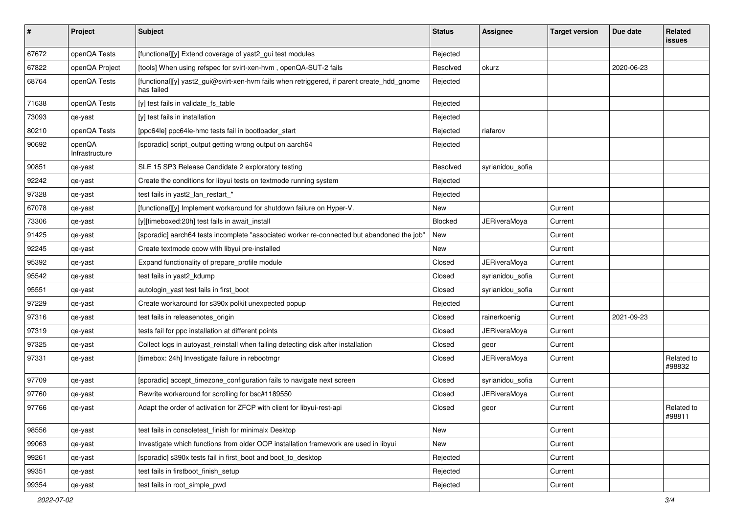| $\vert$ # | Project                  | Subject                                                                                                  | <b>Status</b>  | <b>Assignee</b>     | <b>Target version</b> | Due date   | Related<br><b>issues</b> |
|-----------|--------------------------|----------------------------------------------------------------------------------------------------------|----------------|---------------------|-----------------------|------------|--------------------------|
| 67672     | openQA Tests             | [functional][y] Extend coverage of yast2_gui test modules                                                | Rejected       |                     |                       |            |                          |
| 67822     | openQA Project           | [tools] When using refspec for svirt-xen-hvm, openQA-SUT-2 fails                                         | Resolved       | okurz               |                       | 2020-06-23 |                          |
| 68764     | openQA Tests             | [functional][y] yast2_gui@svirt-xen-hvm fails when retriggered, if parent create_hdd_gnome<br>has failed | Rejected       |                     |                       |            |                          |
| 71638     | openQA Tests             | [y] test fails in validate_fs_table                                                                      | Rejected       |                     |                       |            |                          |
| 73093     | qe-yast                  | [y] test fails in installation                                                                           | Rejected       |                     |                       |            |                          |
| 80210     | openQA Tests             | [ppc64le] ppc64le-hmc tests fail in bootloader start                                                     | Rejected       | riafarov            |                       |            |                          |
| 90692     | openQA<br>Infrastructure | [sporadic] script_output getting wrong output on aarch64                                                 | Rejected       |                     |                       |            |                          |
| 90851     | qe-yast                  | SLE 15 SP3 Release Candidate 2 exploratory testing                                                       | Resolved       | syrianidou_sofia    |                       |            |                          |
| 92242     | qe-yast                  | Create the conditions for libyui tests on textmode running system                                        | Rejected       |                     |                       |            |                          |
| 97328     | qe-yast                  | test fails in yast2_lan_restart_*                                                                        | Rejected       |                     |                       |            |                          |
| 67078     | qe-yast                  | [functional][y] Implement workaround for shutdown failure on Hyper-V.                                    | New            |                     | Current               |            |                          |
| 73306     | qe-yast                  | [y][timeboxed:20h] test fails in await install                                                           | <b>Blocked</b> | JERiveraMoya        | Current               |            |                          |
| 91425     | qe-yast                  | [sporadic] aarch64 tests incomplete "associated worker re-connected but abandoned the job"               | New            |                     | Current               |            |                          |
| 92245     | qe-yast                  | Create textmode qcow with libyui pre-installed                                                           | New            |                     | Current               |            |                          |
| 95392     | qe-yast                  | Expand functionality of prepare_profile module                                                           | Closed         | JERiveraMoya        | Current               |            |                          |
| 95542     | qe-yast                  | test fails in yast2_kdump                                                                                | Closed         | syrianidou_sofia    | Current               |            |                          |
| 95551     | qe-yast                  | autologin_yast test fails in first_boot                                                                  | Closed         | syrianidou_sofia    | Current               |            |                          |
| 97229     | qe-yast                  | Create workaround for s390x polkit unexpected popup                                                      | Rejected       |                     | Current               |            |                          |
| 97316     | qe-yast                  | test fails in releasenotes_origin                                                                        | Closed         | rainerkoenig        | Current               | 2021-09-23 |                          |
| 97319     | qe-yast                  | tests fail for ppc installation at different points                                                      | Closed         | <b>JERiveraMoya</b> | Current               |            |                          |
| 97325     | qe-yast                  | Collect logs in autoyast_reinstall when failing detecting disk after installation                        | Closed         | geor                | Current               |            |                          |
| 97331     | qe-yast                  | [timebox: 24h] Investigate failure in rebootmgr                                                          | Closed         | <b>JERiveraMoya</b> | Current               |            | Related to<br>#98832     |
| 97709     | qe-yast                  | [sporadic] accept_timezone_configuration fails to navigate next screen                                   | Closed         | syrianidou sofia    | Current               |            |                          |
| 97760     | qe-yast                  | Rewrite workaround for scrolling for bsc#1189550                                                         | Closed         | JERiveraMoya        | Current               |            |                          |
| 97766     | qe-yast                  | Adapt the order of activation for ZFCP with client for libyui-rest-api                                   | Closed         | geor                | Current               |            | Related to<br>#98811     |
| 98556     | qe-yast                  | test fails in consoletest_finish for minimalx Desktop                                                    | New            |                     | Current               |            |                          |
| 99063     | qe-yast                  | Investigate which functions from older OOP installation framework are used in libyui                     | New            |                     | Current               |            |                          |
| 99261     | qe-yast                  | [sporadic] s390x tests fail in first_boot and boot_to_desktop                                            | Rejected       |                     | Current               |            |                          |
| 99351     | qe-yast                  | test fails in firstboot_finish_setup                                                                     | Rejected       |                     | Current               |            |                          |
| 99354     | qe-yast                  | test fails in root_simple_pwd                                                                            | Rejected       |                     | Current               |            |                          |